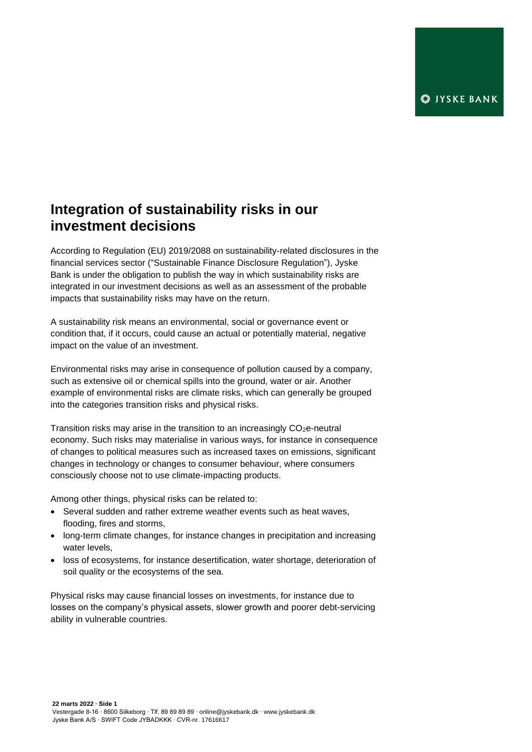# **Integration of sustainability risks in our investment decisions**

According to Regulation (EU) 2019/2088 on sustainability‐related disclosures in the financial services sector ("Sustainable Finance Disclosure Regulation"), Jyske Bank is under the obligation to publish the way in which sustainability risks are integrated in our investment decisions as well as an assessment of the probable impacts that sustainability risks may have on the return.

A sustainability risk means an environmental, social or governance event or condition that, if it occurs, could cause an actual or potentially material, negative impact on the value of an investment.

Environmental risks may arise in consequence of pollution caused by a company, such as extensive oil or chemical spills into the ground, water or air. Another example of environmental risks are climate risks, which can generally be grouped into the categories transition risks and physical risks.

Transition risks may arise in the transition to an increasingly  $CO<sub>2</sub>e$ -neutral economy. Such risks may materialise in various ways, for instance in consequence of changes to political measures such as increased taxes on emissions, significant changes in technology or changes to consumer behaviour, where consumers consciously choose not to use climate-impacting products.

Among other things, physical risks can be related to:

- Several sudden and rather extreme weather events such as heat waves, flooding, fires and storms,
- long-term climate changes, for instance changes in precipitation and increasing water levels,
- loss of ecosystems, for instance desertification, water shortage, deterioration of soil quality or the ecosystems of the sea.

Physical risks may cause financial losses on investments, for instance due to losses on the company's physical assets, slower growth and poorer debt-servicing ability in vulnerable countries.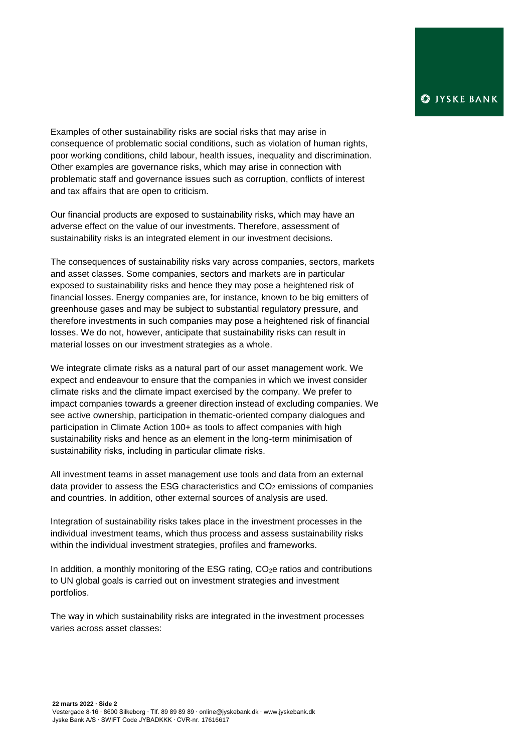Examples of other sustainability risks are social risks that may arise in consequence of problematic social conditions, such as violation of human rights, poor working conditions, child labour, health issues, inequality and discrimination. Other examples are governance risks, which may arise in connection with problematic staff and governance issues such as corruption, conflicts of interest and tax affairs that are open to criticism.

Our financial products are exposed to sustainability risks, which may have an adverse effect on the value of our investments. Therefore, assessment of sustainability risks is an integrated element in our investment decisions.

The consequences of sustainability risks vary across companies, sectors, markets and asset classes. Some companies, sectors and markets are in particular exposed to sustainability risks and hence they may pose a heightened risk of financial losses. Energy companies are, for instance, known to be big emitters of greenhouse gases and may be subject to substantial regulatory pressure, and therefore investments in such companies may pose a heightened risk of financial losses. We do not, however, anticipate that sustainability risks can result in material losses on our investment strategies as a whole.

We integrate climate risks as a natural part of our asset management work. We expect and endeavour to ensure that the companies in which we invest consider climate risks and the climate impact exercised by the company. We prefer to impact companies towards a greener direction instead of excluding companies. We see active ownership, participation in thematic-oriented company dialogues and participation in Climate Action 100+ as tools to affect companies with high sustainability risks and hence as an element in the long-term minimisation of sustainability risks, including in particular climate risks.

All investment teams in asset management use tools and data from an external data provider to assess the ESG characteristics and  $CO<sub>2</sub>$  emissions of companies and countries. In addition, other external sources of analysis are used.

Integration of sustainability risks takes place in the investment processes in the individual investment teams, which thus process and assess sustainability risks within the individual investment strategies, profiles and frameworks.

In addition, a monthly monitoring of the ESG rating, CO<sub>2</sub>e ratios and contributions to UN global goals is carried out on investment strategies and investment portfolios.

The way in which sustainability risks are integrated in the investment processes varies across asset classes: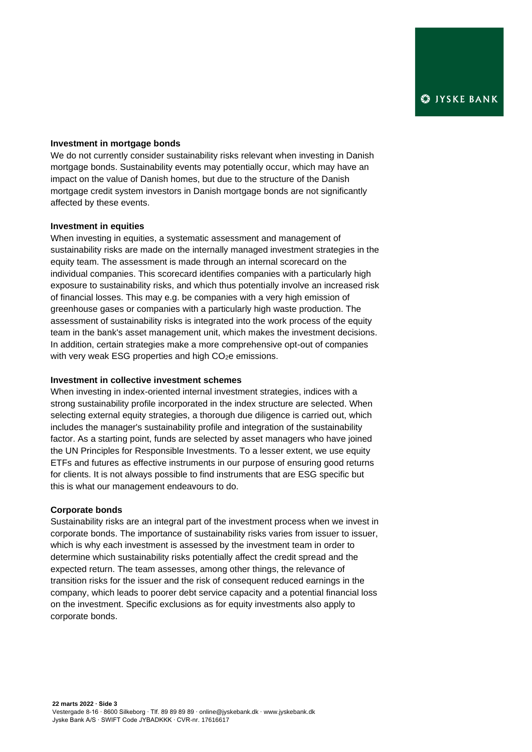## **Investment in mortgage bonds**

We do not currently consider sustainability risks relevant when investing in Danish mortgage bonds. Sustainability events may potentially occur, which may have an impact on the value of Danish homes, but due to the structure of the Danish mortgage credit system investors in Danish mortgage bonds are not significantly affected by these events.

### **Investment in equities**

When investing in equities, a systematic assessment and management of sustainability risks are made on the internally managed investment strategies in the equity team. The assessment is made through an internal scorecard on the individual companies. This scorecard identifies companies with a particularly high exposure to sustainability risks, and which thus potentially involve an increased risk of financial losses. This may e.g. be companies with a very high emission of greenhouse gases or companies with a particularly high waste production. The assessment of sustainability risks is integrated into the work process of the equity team in the bank's asset management unit, which makes the investment decisions. In addition, certain strategies make a more comprehensive opt-out of companies with very weak ESG properties and high CO<sub>2</sub>e emissions.

#### **Investment in collective investment schemes**

When investing in index-oriented internal investment strategies, indices with a strong sustainability profile incorporated in the index structure are selected. When selecting external equity strategies, a thorough due diligence is carried out, which includes the manager's sustainability profile and integration of the sustainability factor. As a starting point, funds are selected by asset managers who have joined the UN Principles for Responsible Investments. To a lesser extent, we use equity ETFs and futures as effective instruments in our purpose of ensuring good returns for clients. It is not always possible to find instruments that are ESG specific but this is what our management endeavours to do.

#### **Corporate bonds**

Sustainability risks are an integral part of the investment process when we invest in corporate bonds. The importance of sustainability risks varies from issuer to issuer, which is why each investment is assessed by the investment team in order to determine which sustainability risks potentially affect the credit spread and the expected return. The team assesses, among other things, the relevance of transition risks for the issuer and the risk of consequent reduced earnings in the company, which leads to poorer debt service capacity and a potential financial loss on the investment. Specific exclusions as for equity investments also apply to corporate bonds.